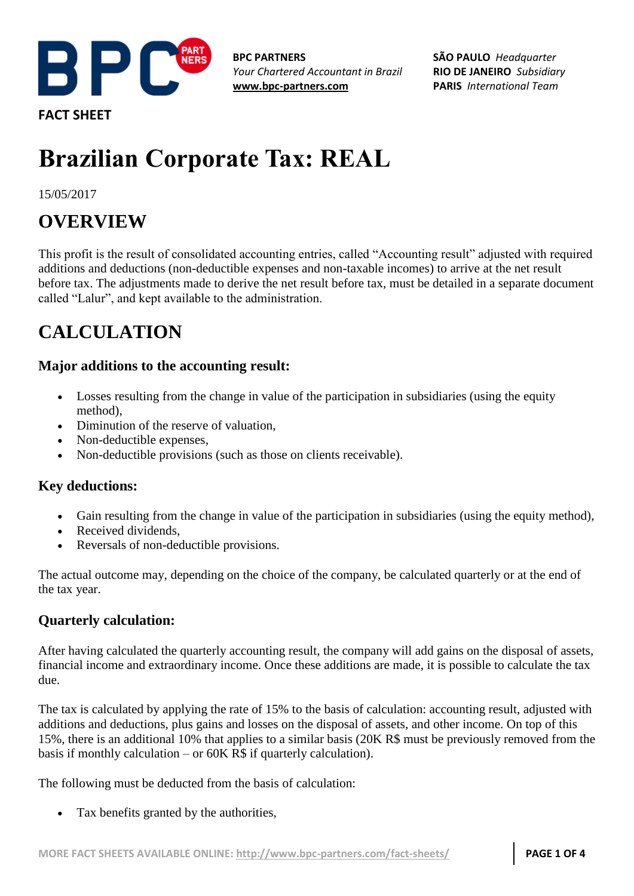

**FACT SHEET**

**BPC PARTNERS** *Your Chartered Accountant in Brazil* **[www.bpc-partners.com](http://www.bpc-partners.com/)**

**SÃO PAULO** *Headquarter* **RIO DE JANEIRO** *Subsidiary* **PARIS** *International Team*

# **Brazilian Corporate Tax: REAL**

15/05/2017

### **OVERVIEW**

This profit is the result of consolidated accounting entries, called "Accounting result" adjusted with required additions and deductions (non-deductible expenses and non-taxable incomes) to arrive at the net result before tax. The adjustments made to derive the net result before tax, must be detailed in a separate document called "Lalur", and kept available to the administration.

## **CALCULATION**

#### **Major additions to the accounting result:**

- Losses resulting from the change in value of the participation in subsidiaries (using the equity method),
- Diminution of the reserve of valuation,
- Non-deductible expenses,
- Non-deductible provisions (such as those on clients receivable).

#### **Key deductions:**

- Gain resulting from the change in value of the participation in subsidiaries (using the equity method),
- Received dividends,
- Reversals of non-deductible provisions.

The actual outcome may, depending on the choice of the company, be calculated quarterly or at the end of the tax year.

#### **Quarterly calculation:**

After having calculated the quarterly accounting result, the company will add gains on the disposal of assets, financial income and extraordinary income. Once these additions are made, it is possible to calculate the tax due.

The tax is calculated by applying the rate of 15% to the basis of calculation: accounting result, adjusted with additions and deductions, plus gains and losses on the disposal of assets, and other income. On top of this 15%, there is an additional 10% that applies to a similar basis (20K R\$ must be previously removed from the basis if monthly calculation – or  $60K R\$  if quarterly calculation).

The following must be deducted from the basis of calculation:

Tax benefits granted by the authorities,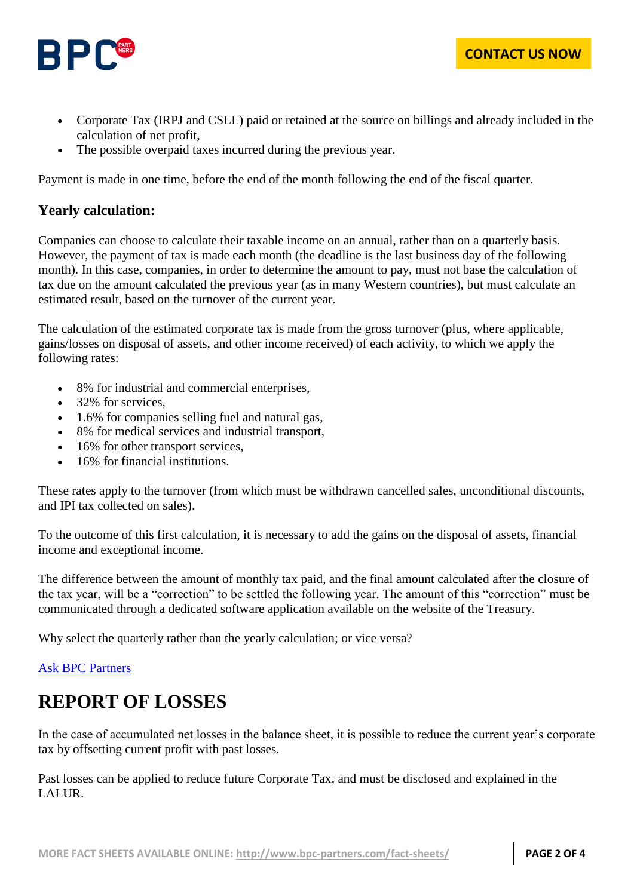

- Corporate Tax (IRPJ and CSLL) paid or retained at the source on billings and already included in the calculation of net profit,
- The possible overpaid taxes incurred during the previous year.

Payment is made in one time, before the end of the month following the end of the fiscal quarter.

#### **Yearly calculation:**

Companies can choose to calculate their taxable income on an annual, rather than on a quarterly basis. However, the payment of tax is made each month (the deadline is the last business day of the following month). In this case, companies, in order to determine the amount to pay, must not base the calculation of tax due on the amount calculated the previous year (as in many Western countries), but must calculate an estimated result, based on the turnover of the current year.

The calculation of the estimated corporate tax is made from the gross turnover (plus, where applicable, gains/losses on disposal of assets, and other income received) of each activity, to which we apply the following rates:

- 8% for industrial and commercial enterprises,
- 32% for services,
- 1.6% for companies selling fuel and natural gas,
- 8% for medical services and industrial transport,
- 16% for other transport services,
- 16% for financial institutions.

These rates apply to the turnover (from which must be withdrawn cancelled sales, unconditional discounts, and IPI tax collected on sales).

To the outcome of this first calculation, it is necessary to add the gains on the disposal of assets, financial income and exceptional income.

The difference between the amount of monthly tax paid, and the final amount calculated after the closure of the tax year, will be a "correction" to be settled the following year. The amount of this "correction" must be communicated through a dedicated software application available on the website of the Treasury.

Why select the quarterly rather than the yearly calculation; or vice versa?

#### [Ask BPC Partners](http://www.bpc-partners.com/contact-us/)

### **REPORT OF LOSSES**

In the case of accumulated net losses in the balance sheet, it is possible to reduce the current year's corporate tax by offsetting current profit with past losses.

Past losses can be applied to reduce future Corporate Tax, and must be disclosed and explained in the LALUR.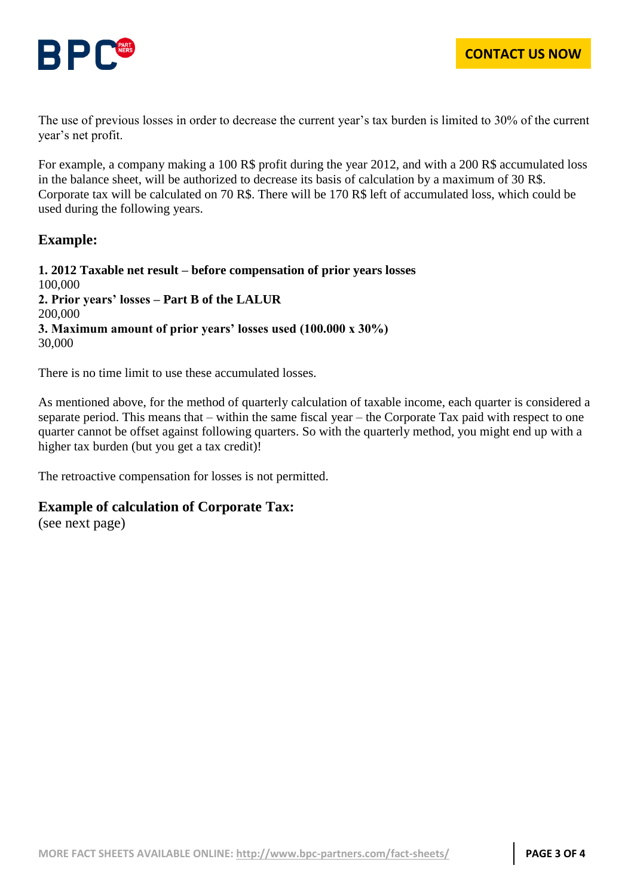

The use of previous losses in order to decrease the current year's tax burden is limited to 30% of the current year's net profit.

For example, a company making a 100 R\$ profit during the year 2012, and with a 200 R\$ accumulated loss in the balance sheet, will be authorized to decrease its basis of calculation by a maximum of 30 R\$. Corporate tax will be calculated on 70 R\$. There will be 170 R\$ left of accumulated loss, which could be used during the following years.

#### **Example:**

**1. 2012 Taxable net result – before compensation of prior years losses** 100,000 **2. Prior years' losses – Part B of the LALUR** 200,000 **3. Maximum amount of prior years' losses used (100.000 x 30%)** 30,000

There is no time limit to use these accumulated losses.

As mentioned above, for the method of quarterly calculation of taxable income, each quarter is considered a separate period. This means that – within the same fiscal year – the Corporate Tax paid with respect to one quarter cannot be offset against following quarters. So with the quarterly method, you might end up with a higher tax burden (but you get a tax credit)!

The retroactive compensation for losses is not permitted.

#### **Example of calculation of Corporate Tax:**

(see next page)